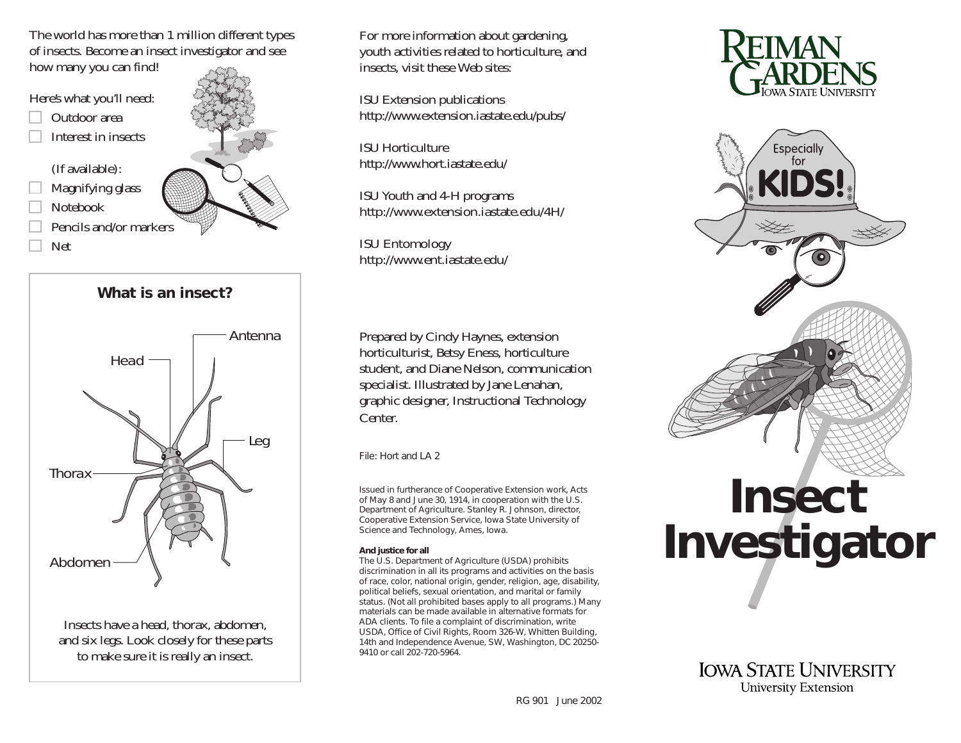The world has more than 1 million different types of insects. Become an insect investigator and see how many you can find!

Here's what you'll need:

- Outdoor area
- Interest in insects

(If available):

- Magnifying glass
- Notebook
- Pencils and/or markers
- Net



**What is an insect?Thorax** AntennaHeadLeg Abdomen

Insects have a head, thorax, abdomen, and six legs. Look closely for these parts to make sure it is really an insect.

For more information about gardening, youth activities related to horticulture, and insects, visit these Web sites:

ISU Extension publications http://www.extension.iastate.edu/pubs/

ISU Horticulturehttp://www.hort.iastate.edu/

ISU Youth and 4-H programs http://www.extension.iastate.edu/4H/

ISU Entomology http://www.ent.iastate.edu/

Prepared by Cindy Haynes, extension horticulturist, Betsy Eness, horticulture student, and Diane Nelson, communication specialist. Illustrated by Jane Lenahan, graphic designer, Instructional Technology Center.

File: Hort and LA 2

Issued in furtherance of Cooperative Extension work, Acts of May 8 and June 30, 1914, in cooperation with the U.S. Department of Agriculture. Stanley R. Johnson, director, Cooperative Extension Service, Iowa State University of Science and Technology, Ames, Iowa.

## **And justice for all**

The U.S. Department of Agriculture (USDA) prohibits discrimination in all its programs and activities on the basis of race, color, national origin, gender, religion, age, disability, political beliefs, sexual orientation, and marital or family status. (Not all prohibited bases apply to all programs.) Many materials can be made available in alternative formats forADA clients. To file a complaint of discrimination, write USDA, Office of Civil Rights, Room 326-W, Whitten Building, 14th and Independence Avenue, SW, Washington, DC 20250- 9410 or call 202-720-5964.





**IOWA STATE UNIVERSITY** University Extension